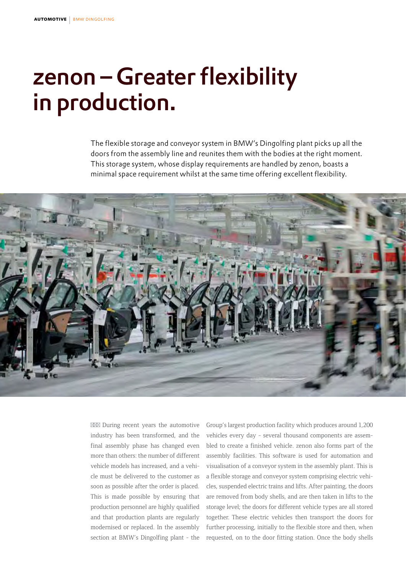# zenon – Greater flexibility in production.

The flexible storage and conveyor system in BMW's Dingolfing plant picks up all the doors from the assembly line and reunites them with the bodies at the right moment. This storage system, whose display requirements are handled by zenon, boasts a minimal space requirement whilst at the same time offering excellent flexibility.



During recent years the automotive industry has been transformed, and the final assembly phase has changed even more than others: the number of different vehicle models has increased, and a vehicle must be delivered to the customer as soon as possible after the order is placed. This is made possible by ensuring that production personnel are highly qualified and that production plants are regularly modernised or replaced. In the assembly section at BMW's Dingolfing plant - the Group's largest production facility which produces around 1,200 vehicles every day - several thousand components are assembled to create a finished vehicle. zenon also forms part of the assembly facilities. This software is used for automation and visualisation of a conveyor system in the assembly plant. This is a flexible storage and conveyor system comprising electric vehicles, suspended electric trains and lifts. After painting, the doors are removed from body shells, and are then taken in lifts to the storage level; the doors for different vehicle types are all stored together. These electric vehicles then transport the doors for further processing, initially to the flexible store and then, when requested, on to the door fitting station. Once the body shells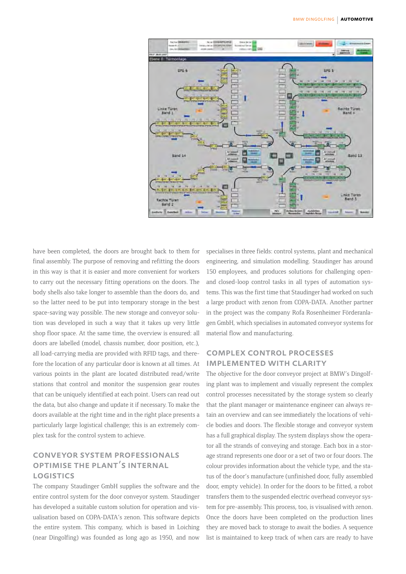

have been completed, the doors are brought back to them for final assembly. The purpose of removing and refitting the doors in this way is that it is easier and more convenient for workers to carry out the necessary fitting operations on the doors. The body shells also take longer to assemble than the doors do, and so the latter need to be put into temporary storage in the best space-saving way possible. The new storage and conveyor solution was developed in such a way that it takes up very little shop floor space. At the same time, the overview is ensured: all doors are labelled (model, chassis number, door position, etc.), all load-carrying media are provided with RFID tags, and therefore the location of any particular door is known at all times. At various points in the plant are located distributed read/write stations that control and monitor the suspension gear routes that can be uniquely identified at each point. Users can read out the data, but also change and update it if necessary. To make the doors available at the right time and in the right place presents a particularly large logistical challenge; this is an extremely complex task for the control system to achieve.

## conveyor system professionals optimise the plant's internal **LOGISTICS**

The company Staudinger GmbH supplies the software and the entire control system for the door conveyor system. Staudinger has developed a suitable custom solution for operation and visualisation based on COPA-DATA's zenon. This software depicts the entire system. This company, which is based in Loiching (near Dingolfing) was founded as long ago as 1950, and now

specialises in three fields: control systems, plant and mechanical engineering, and simulation modelling. Staudinger has around 150 employees, and produces solutions for challenging openand closed-loop control tasks in all types of automation systems. This was the first time that Staudinger had worked on such a large product with zenon from COPA-DATA. Another partner in the project was the company Rofa Rosenheimer Förderanlagen GmbH, which specialises in automated conveyor systems for material flow and manufacturing.

### complex control processes implemented with clarity

The objective for the door conveyor project at BMW's Dingolfing plant was to implement and visually represent the complex control processes necessitated by the storage system so clearly that the plant manager or maintenance engineer can always retain an overview and can see immediately the locations of vehicle bodies and doors. The flexible storage and conveyor system has a full graphical display. The system displays show the operator all the strands of conveying and storage. Each box in a storage strand represents one door or a set of two or four doors. The colour provides information about the vehicle type, and the status of the door's manufacture (unfinished door, fully assembled door, empty vehicle). In order for the doors to be fitted, a robot transfers them to the suspended electric overhead conveyor system for pre-assembly. This process, too, is visualised with zenon. Once the doors have been completed on the production lines they are moved back to storage to await the bodies. A sequence list is maintained to keep track of when cars are ready to have